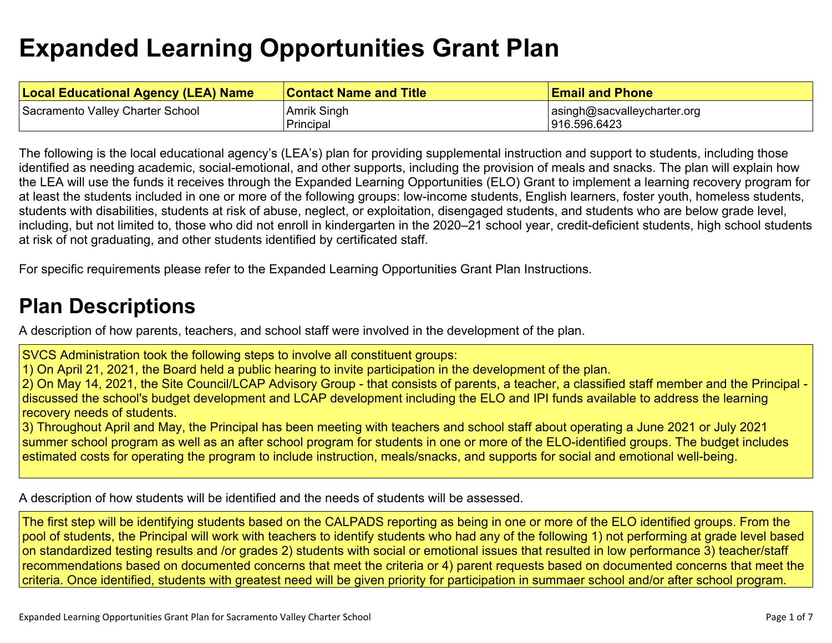# **Expanded Learning [Opportunities](#page-3-0) Grant Plan**

| <b>Local Educational Agency (LEA) Name</b> | <b>Contact Name and Title</b> | <b>Email and Phone</b>      |
|--------------------------------------------|-------------------------------|-----------------------------|
| Sacramento Valley Charter School           | Amrik Singh                   | asingh@sacvalleycharter.org |
|                                            | Principal                     | 916.596.6423                |

The following is the local educational agency's (LEA's) plan for providing supplemental instruction and support to students, including those identified as needing academic, social-emotional, and other supports, including the provision of meals and snacks. The plan will explain how the LEA will use the funds it receives through the Expanded Learning Opportunities (ELO) Grant to implement a learning recovery program for at least the students included in one or more of the following groups: low-income students, English learners, foster youth, homeless students, students with disabilities, students at risk of abuse, neglect, or exploitation, disengaged students, and students who are below grade level, including, but not limited to, those who did not enroll in kindergarten in the 2020–21 school year, credit-deficient students, high school students at risk of not graduating, and other students identified by certificated staff.

For specific requirements please refer to the Expanded Learning Opportunities Grant Plan Instructions.

### **Plan [Descriptions](#page-5-0)**

A description of how parents, teachers, and school staff were involved in the [development](#page-5-1) of the plan.

SVCS Administration took the following steps to involve all constituent groups:

1) On April 21, 2021, the Board held a public hearing to invite participation in the development of the plan.

2) On May 14, 2021, the Site Council/LCAP Advisory Group - that consists of parents, a teacher, a classified staff member and the Principal discussed the school's budget development and LCAP development including the ELO and IPI funds available to address the learning recovery needs of students.

3) Throughout April and May, the Principal has been meeting with teachers and school staff about operating a June 2021 or July 2021 summer school program as well as an after school program for students in one or more of the ELO-identified groups. The budget includes estimated costs for operating the program to include instruction, meals/snacks, and supports for social and emotional well-being.

A [description](#page-5-2) of how students will be identified and the needs of students will be assessed[.](#page-5-2)

The first step will be identifying students based on the CALPADS reporting as being in one or more of the ELO identified groups. From the pool of students, the Principal will work with teachers to identify students who had any of the following 1) not performing at grade level based on standardized testing results and /or grades 2) students with social or emotional issues that resulted in low performance 3) teacher/staff recommendations based on documented concerns that meet the criteria or 4) parent requests based on documented concerns that meet the criteria. Once identified, students with greatest need will be given priority for participation in summaer school and/or after school program.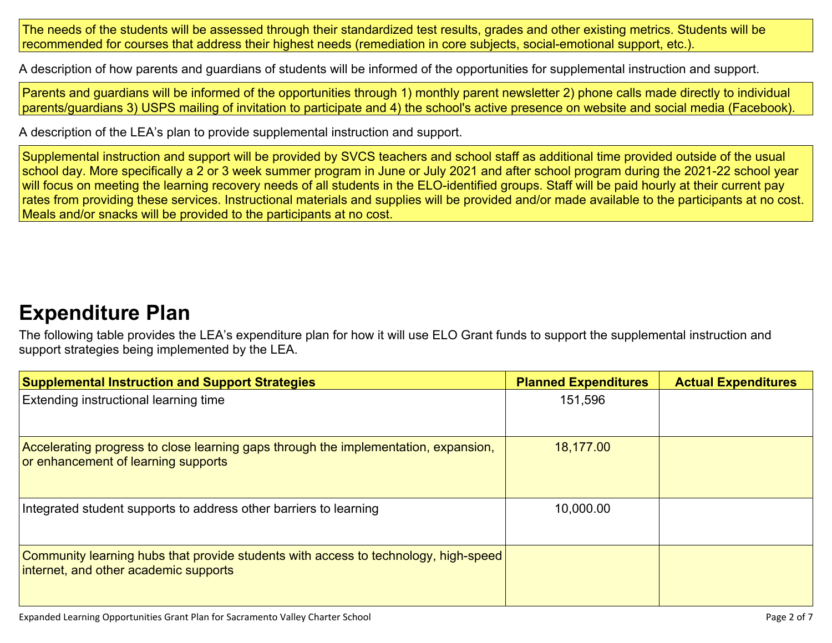The needs of the students will be assessed through their standardized test results, grades and other existing metrics. Students will be recommended for courses that address their highest needs (remediation in core subjects, social-emotional support, etc.).

A description of how parents and guardians of students will be informed of the opportunities for [supplemental](#page-5-3) instruction and support[.](#page-5-3)

Parents and guardians will be informed of the opportunities through 1) monthly parent newsletter 2) phone calls made directly to individual parents/guardians 3) USPS mailing of invitation to participate and 4) the school's active presence on website and social media (Facebook).

A description of the LEA's plan to provide [supplemental](#page-5-4) instruction and support[.](#page-5-4)

Supplemental instruction and support will be provided by SVCS teachers and school staff as additional time provided outside of the usual school day. More specifically a 2 or 3 week summer program in June or July 2021 and after school program during the 2021-22 school year will focus on meeting the learning recovery needs of all students in the ELO-identified groups. Staff will be paid hourly at their current pay rates from providing these services. Instructional materials and supplies will be provided and/or made available to the participants at no cost. Meals and/or snacks will be provided to the participants at no cost.

### **[Expenditure](#page-6-0) Pla[n](#page-6-0)**

The following table provides the LEA's expenditure plan for how it will use ELO Grant funds to support the supplemental instruction and support strategies being implemented by the LEA.

| <b>Supplemental Instruction and Support Strategies</b>                                                                       | <b>Planned Expenditures</b> | <b>Actual Expenditures</b> |
|------------------------------------------------------------------------------------------------------------------------------|-----------------------------|----------------------------|
| Extending instructional learning time                                                                                        | 151,596                     |                            |
| Accelerating progress to close learning gaps through the implementation, expansion,<br>or enhancement of learning supports   | 18,177.00                   |                            |
| Integrated student supports to address other barriers to learning                                                            | 10,000.00                   |                            |
| Community learning hubs that provide students with access to technology, high-speed<br>internet, and other academic supports |                             |                            |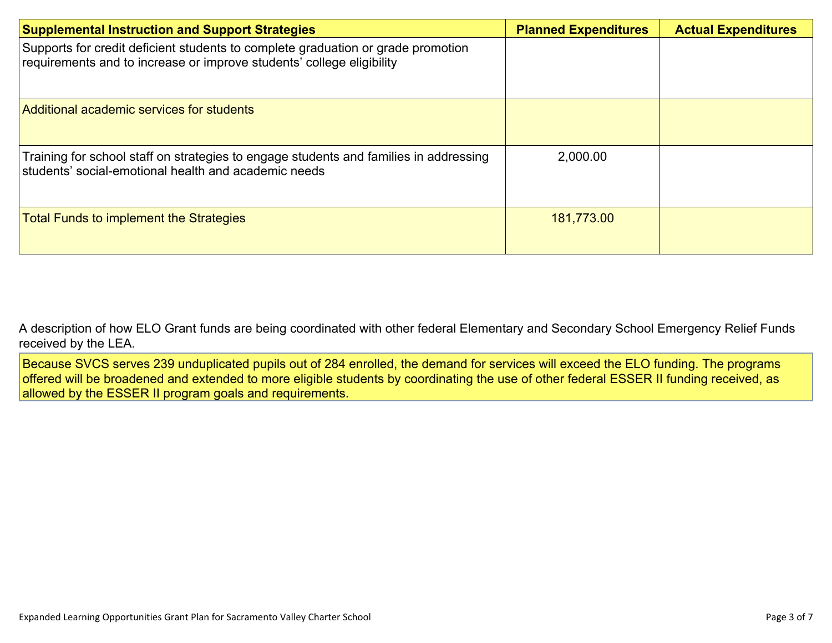| <b>Supplemental Instruction and Support Strategies</b>                                                                                                    | <b>Planned Expenditures</b> | <b>Actual Expenditures</b> |
|-----------------------------------------------------------------------------------------------------------------------------------------------------------|-----------------------------|----------------------------|
| Supports for credit deficient students to complete graduation or grade promotion<br>requirements and to increase or improve students' college eligibility |                             |                            |
| Additional academic services for students                                                                                                                 |                             |                            |
| Training for school staff on strategies to engage students and families in addressing<br>students' social-emotional health and academic needs             | 2,000.00                    |                            |
| <b>Total Funds to implement the Strategies</b>                                                                                                            | 181,773.00                  |                            |

A description of how ELO Grant funds are being [coordinated](#page-6-1) with other federal Elementary and Secondary School Emergency Relief Funds [received](#page-6-1) by the LEA.

Because SVCS serves 239 unduplicated pupils out of 284 enrolled, the demand for services will exceed the ELO funding. The programs offered will be broadened and extended to more eligible students by coordinating the use of other federal ESSER II funding received, as allowed by the ESSER II program goals and requirements.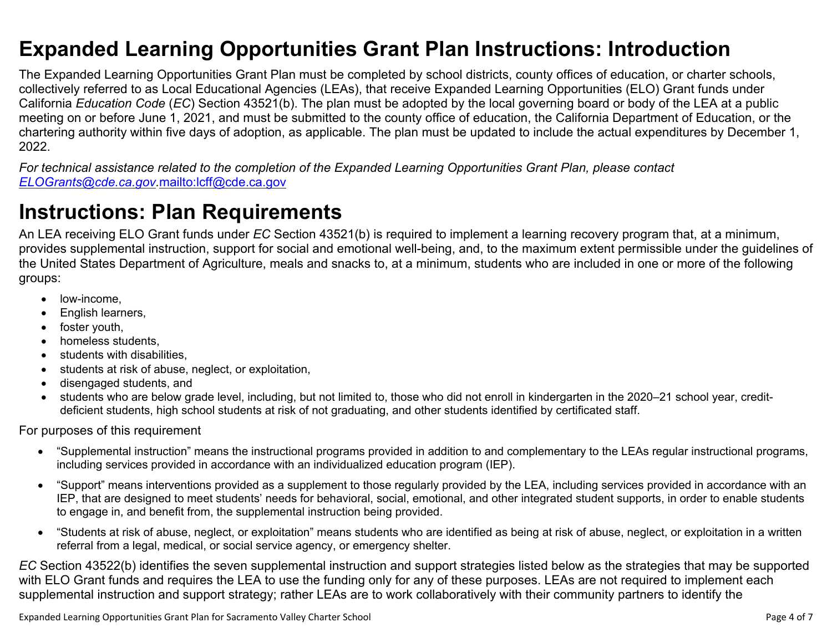### <span id="page-3-0"></span>**Expanded Learning Opportunities Grant Plan Instructions: Introduction**

The Expanded Learning Opportunities Grant Plan must be completed by school districts, county offices of education, or charter schools, collectively referred to as Local Educational Agencies (LEAs), that receive Expanded Learning Opportunities (ELO) Grant funds under California *Education Code* (*EC*) Section 43521(b). The plan must be adopted by the local governing board or body of the LEA at a public meeting on or before June 1, 2021, and must be submitted to the county office of education, the California Department of Education, or the chartering authority within five days of adoption, as applicable. The plan must be updated to include the actual expenditures by December 1, 2022.

For technical assistance related to the completion of the Expanded Learning Opportunities Grant Plan, please contact *[ELOGrants@cde.ca.gov](mailto:ELOGrants@cde.ca.gov).*<mailto:lcff@cde.ca.gov>

## **Instructions: Plan Requirements**

An LEA receiving ELO Grant funds under *EC* Section 43521(b) is required to implement a learning recovery program that, at a minimum, provides supplemental instruction, support for social and emotional well-being, and, to the maximum extent permissible under the guidelines of the United States Department of Agriculture, meals and snacks to, at a minimum, students who are included in one or more of the following groups:

- low-income.
- English learners,
- foster youth,
- homeless students,
- students with disabilities.
- students at risk of abuse, neglect, or exploitation,
- disengaged students, and
- students who are below grade level, including, but not limited to, those who did not enroll in kindergarten in the 2020–21 school year, creditdeficient students, high school students at risk of not graduating, and other students identified by certificated staff.

For purposes of this requirement

- "Supplemental instruction" means the instructional programs provided in addition to and complementary to the LEAs regular instructional programs, including services provided in accordance with an individualized education program (IEP).
- "Support" means interventions provided as a supplement to those regularly provided by the LEA, including services provided in accordance with an IEP, that are designed to meet students' needs for behavioral, social, emotional, and other integrated student supports, in order to enable students to engage in, and benefit from, the supplemental instruction being provided.
- "Students at risk of abuse, neglect, or exploitation" means students who are identified as being at risk of abuse, neglect, or exploitation in a written referral from a legal, medical, or social service agency, or emergency shelter.

*EC* Section 43522(b) identifies the seven supplemental instruction and support strategies listed below as the strategies that may be supported with ELO Grant funds and requires the LEA to use the funding only for any of these purposes. LEAs are not required to implement each supplemental instruction and support strategy; rather LEAs are to work collaboratively with their community partners to identify the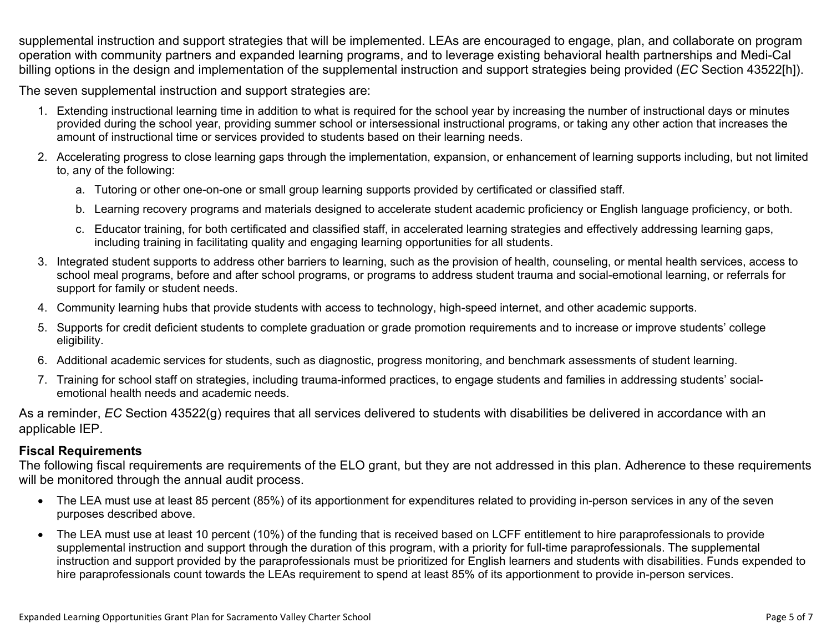supplemental instruction and support strategies that will be implemented. LEAs are encouraged to engage, plan, and collaborate on program operation with community partners and expanded learning programs, and to leverage existing behavioral health partnerships and Medi-Cal billing options in the design and implementation of the supplemental instruction and support strategies being provided (*EC* Section 43522[h]).

The seven supplemental instruction and support strategies are:

- 1. Extending instructional learning time in addition to what is required for the school year by increasing the number of instructional days or minutes provided during the school year, providing summer school or intersessional instructional programs, or taking any other action that increases the amount of instructional time or services provided to students based on their learning needs.
- 2. Accelerating progress to close learning gaps through the implementation, expansion, or enhancement of learning supports including, but not limited to, any of the following:
	- a. Tutoring or other one-on-one or small group learning supports provided by certificated or classified staff.
	- b. Learning recovery programs and materials designed to accelerate student academic proficiency or English language proficiency, or both.
	- c. Educator training, for both certificated and classified staff, in accelerated learning strategies and effectively addressing learning gaps, including training in facilitating quality and engaging learning opportunities for all students.
- 3. Integrated student supports to address other barriers to learning, such as the provision of health, counseling, or mental health services, access to school meal programs, before and after school programs, or programs to address student trauma and social-emotional learning, or referrals for support for family or student needs.
- 4. Community learning hubs that provide students with access to technology, high-speed internet, and other academic supports.
- 5. Supports for credit deficient students to complete graduation or grade promotion requirements and to increase or improve students' college eligibility.
- 6. Additional academic services for students, such as diagnostic, progress monitoring, and benchmark assessments of student learning.
- 7. Training for school staff on strategies, including trauma-informed practices, to engage students and families in addressing students' socialemotional health needs and academic needs.

As a reminder, *EC* Section 43522(g) requires that all services delivered to students with disabilities be delivered in accordance with an applicable IEP.

### **Fiscal Requirements**

The following fiscal requirements are requirements of the ELO grant, but they are not addressed in this plan. Adherence to these requirements will be monitored through the annual audit process.

- The LEA must use at least 85 percent (85%) of its apportionment for expenditures related to providing in-person services in any of the seven purposes described above.
- The LEA must use at least 10 percent (10%) of the funding that is received based on LCFF entitlement to hire paraprofessionals to provide supplemental instruction and support through the duration of this program, with a priority for full-time paraprofessionals. The supplemental instruction and support provided by the paraprofessionals must be prioritized for English learners and students with disabilities. Funds expended to hire paraprofessionals count towards the LEAs requirement to spend at least 85% of its apportionment to provide in-person services.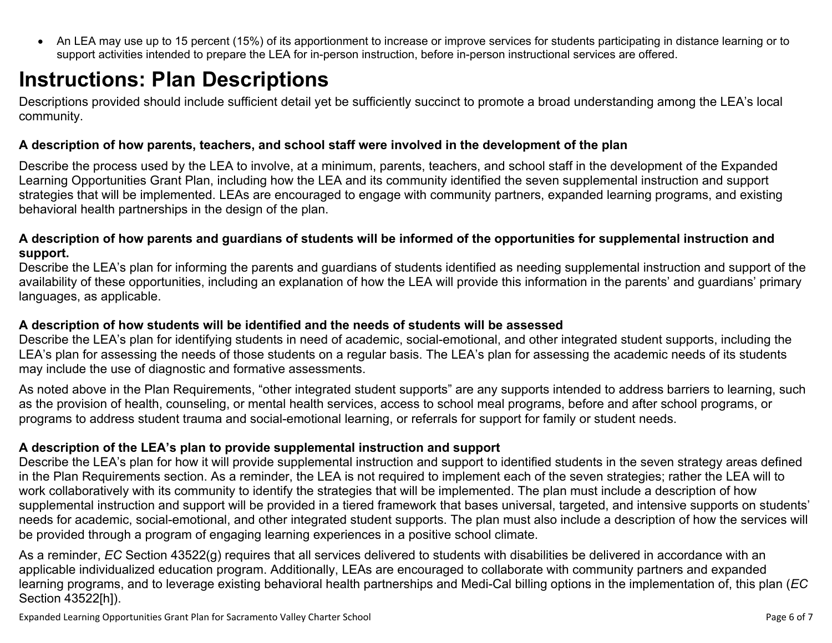<span id="page-5-0"></span> An LEA may use up to 15 percent (15%) of its apportionment to increase or improve services for students participating in distance learning or to support activities intended to prepare the LEA for in-person instruction, before in-person instructional services are offered.

# **Instructions: Plan Descriptions**

Descriptions provided should include sufficient detail yet be sufficiently succinct to promote a broad understanding among the LEA's local community.

#### <span id="page-5-1"></span>**A description of how parents, teachers, and school staff were involved in the development of the plan**

Describe the process used by the LEA to involve, at a minimum, parents, teachers, and school staff in the development of the Expanded Learning Opportunities Grant Plan, including how the LEA and its community identified the seven supplemental instruction and support strategies that will be implemented. LEAs are encouraged to engage with community partners, expanded learning programs, and existing behavioral health partnerships in the design of the plan.

#### <span id="page-5-2"></span>A description of how parents and guardians of students will be informed of the opportunities for supplemental instruction and **support.**

Describe the LEA's plan for informing the parents and guardians of students identified as needing supplemental instruction and support of the availability of these opportunities, including an explanation of how the LEA will provide this information in the parents' and guardians' primary languages, as applicable.

#### <span id="page-5-3"></span>**A description of how students will be identified and the needs of students will be assessed**

Describe the LEA's plan for identifying students in need of academic, social-emotional, and other integrated student supports, including the LEA's plan for assessing the needs of those students on a regular basis. The LEA's plan for assessing the academic needs of its students may include the use of diagnostic and formative assessments.

As noted above in the Plan Requirements, "other integrated student supports" are any supports intended to address barriers to learning, such as the provision of health, counseling, or mental health services, access to school meal programs, before and after school programs, or programs to address student trauma and social-emotional learning, or referrals for support for family or student needs.

### <span id="page-5-4"></span>**A description of the LEA's plan to provide supplemental instruction and support**

Describe the LEA's plan for how it will provide supplemental instruction and support to identified students in the seven strategy areas defined in the Plan Requirements section. As a reminder, the LEA is not required to implement each of the seven strategies; rather the LEA will to work collaboratively with its community to identify the strategies that will be implemented. The plan must include a description of how supplemental instruction and support will be provided in a tiered framework that bases universal, targeted, and intensive supports on students' needs for academic, social-emotional, and other integrated student supports. The plan must also include a description of how the services will be provided through a program of engaging learning experiences in a positive school climate.

As a reminder, *EC* Section 43522(g) requires that all services delivered to students with disabilities be delivered in accordance with an applicable individualized education program. Additionally, LEAs are encouraged to collaborate with community partners and expanded learning programs, and to leverage existing behavioral health partnerships and Medi-Cal billing options in the implementation of, this plan (*EC* Section 43522[h]).